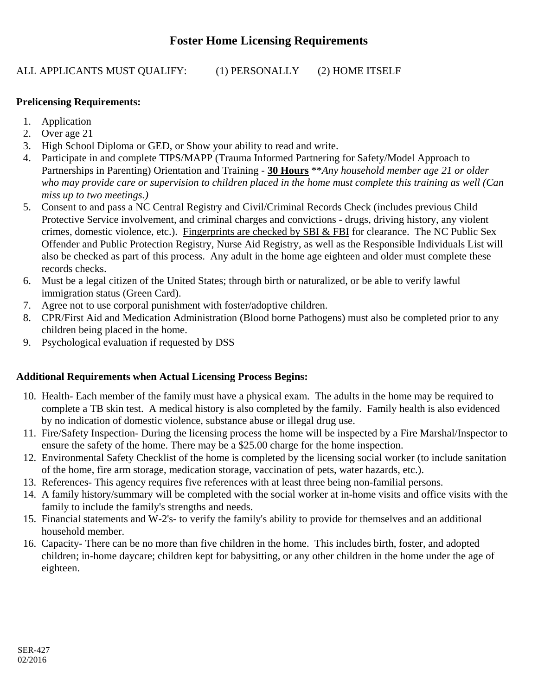## **Foster Home Licensing Requirements**

ALL APPLICANTS MUST QUALIFY: (1) PERSONALLY (2) HOME ITSELF

## **Prelicensing Requirements:**

- 1. Application
- 2. Over age 21
- 3. High School Diploma or GED, or Show your ability to read and write.
- 4. Participate in and complete TIPS/MAPP (Trauma Informed Partnering for Safety/Model Approach to Partnerships in Parenting) Orientation and Training - **30 Hours** \*\**Any household member age 21 or older who may provide care or supervision to children placed in the home must complete this training as well (Can miss up to two meetings.)*
- 5. Consent to and pass a NC Central Registry and Civil/Criminal Records Check (includes previous Child Protective Service involvement, and criminal charges and convictions - drugs, driving history, any violent crimes, domestic violence, etc.). Fingerprints are checked by SBI & FBI for clearance. The NC Public Sex Offender and Public Protection Registry, Nurse Aid Registry, as well as the Responsible Individuals List will also be checked as part of this process. Any adult in the home age eighteen and older must complete these records checks.
- 6. Must be a legal citizen of the United States; through birth or naturalized, or be able to verify lawful immigration status (Green Card).
- 7. Agree not to use corporal punishment with foster/adoptive children.
- 8. CPR/First Aid and Medication Administration (Blood borne Pathogens) must also be completed prior to any children being placed in the home.
- 9. Psychological evaluation if requested by DSS

### **Additional Requirements when Actual Licensing Process Begins:**

- 10. Health- Each member of the family must have a physical exam. The adults in the home may be required to complete a TB skin test. A medical history is also completed by the family. Family health is also evidenced by no indication of domestic violence, substance abuse or illegal drug use.
- 11. Fire/Safety Inspection- During the licensing process the home will be inspected by a Fire Marshal/Inspector to ensure the safety of the home. There may be a \$25.00 charge for the home inspection.
- 12. Environmental Safety Checklist of the home is completed by the licensing social worker (to include sanitation of the home, fire arm storage, medication storage, vaccination of pets, water hazards, etc.).
- 13. References- This agency requires five references with at least three being non-familial persons.
- 14. A family history/summary will be completed with the social worker at in-home visits and office visits with the family to include the family's strengths and needs.
- 15. Financial statements and W-2's- to verify the family's ability to provide for themselves and an additional household member.
- 16. Capacity- There can be no more than five children in the home. This includes birth, foster, and adopted children; in-home daycare; children kept for babysitting, or any other children in the home under the age of eighteen.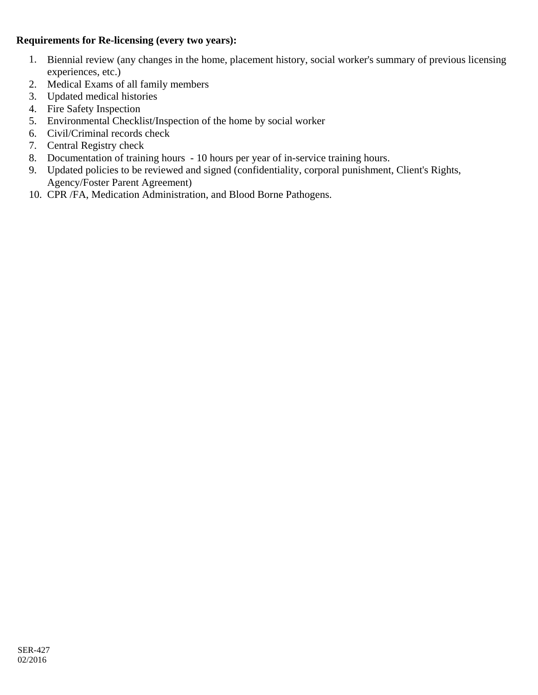### **Requirements for Re-licensing (every two years):**

- 1. Biennial review (any changes in the home, placement history, social worker's summary of previous licensing experiences, etc.)
- 2. Medical Exams of all family members
- 3. Updated medical histories
- 4. Fire Safety Inspection
- 5. Environmental Checklist/Inspection of the home by social worker
- 6. Civil/Criminal records check
- 7. Central Registry check
- 8. Documentation of training hours 10 hours per year of in-service training hours.
- 9. Updated policies to be reviewed and signed (confidentiality, corporal punishment, Client's Rights, Agency/Foster Parent Agreement)
- 10. CPR /FA, Medication Administration, and Blood Borne Pathogens.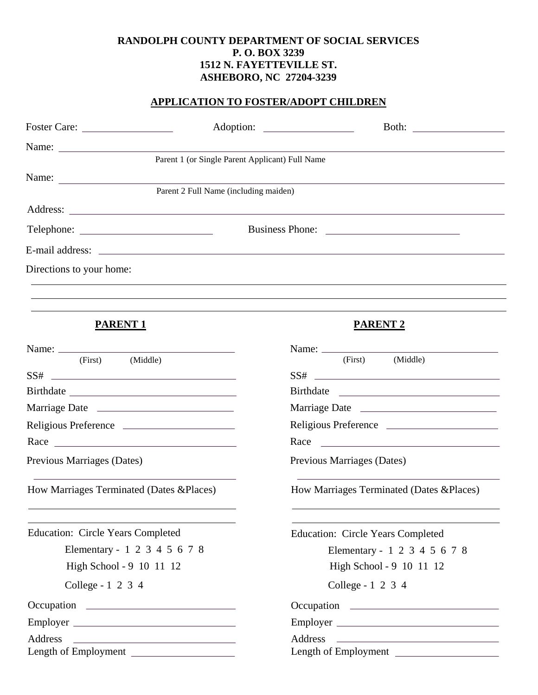## **RANDOLPH COUNTY DEPARTMENT OF SOCIAL SERVICES P. O. BOX 3239 1512 N. FAYETTEVILLE ST. ASHEBORO, NC 27204-3239**

## **APPLICATION TO FOSTER/ADOPT CHILDREN**

| Name:                                                                                                                                                                                                                         |                                                 |                                                                                                                                                                                                                                                                                                                                                                                                                                           |
|-------------------------------------------------------------------------------------------------------------------------------------------------------------------------------------------------------------------------------|-------------------------------------------------|-------------------------------------------------------------------------------------------------------------------------------------------------------------------------------------------------------------------------------------------------------------------------------------------------------------------------------------------------------------------------------------------------------------------------------------------|
|                                                                                                                                                                                                                               | Parent 1 (or Single Parent Applicant) Full Name |                                                                                                                                                                                                                                                                                                                                                                                                                                           |
| Name:                                                                                                                                                                                                                         |                                                 |                                                                                                                                                                                                                                                                                                                                                                                                                                           |
|                                                                                                                                                                                                                               | Parent 2 Full Name (including maiden)           |                                                                                                                                                                                                                                                                                                                                                                                                                                           |
|                                                                                                                                                                                                                               |                                                 |                                                                                                                                                                                                                                                                                                                                                                                                                                           |
|                                                                                                                                                                                                                               |                                                 |                                                                                                                                                                                                                                                                                                                                                                                                                                           |
|                                                                                                                                                                                                                               |                                                 |                                                                                                                                                                                                                                                                                                                                                                                                                                           |
| Directions to your home:                                                                                                                                                                                                      |                                                 |                                                                                                                                                                                                                                                                                                                                                                                                                                           |
|                                                                                                                                                                                                                               |                                                 |                                                                                                                                                                                                                                                                                                                                                                                                                                           |
| <b>PARENT 1</b>                                                                                                                                                                                                               |                                                 | <b>PARENT 2</b>                                                                                                                                                                                                                                                                                                                                                                                                                           |
|                                                                                                                                                                                                                               |                                                 |                                                                                                                                                                                                                                                                                                                                                                                                                                           |
| (First) (Middle)                                                                                                                                                                                                              |                                                 | (First)<br>(Middle)                                                                                                                                                                                                                                                                                                                                                                                                                       |
| $SS# \begin{tabular}{c} \hline \multicolumn{3}{c} {\textbf{SS8}} \end{tabular}$                                                                                                                                               |                                                 | $SS# \begin{tabular}{c} \textbf{SS} & \textbf{S} & \textbf{S} \\ \textbf{S} & \textbf{S} & \textbf{S} \\ \textbf{S} & \textbf{S} & \textbf{S} \\ \textbf{S} & \textbf{S} & \textbf{S} \\ \textbf{S} & \textbf{S} & \textbf{S} \\ \textbf{S} & \textbf{S} & \textbf{S} \\ \textbf{S} & \textbf{S} & \textbf{S} \\ \textbf{S} & \textbf{S} & \textbf{S} \\ \textbf{S} & \textbf{S} & \textbf{S} \\ \textbf{S} & \textbf{S} & \textbf{S} \\$ |
|                                                                                                                                                                                                                               |                                                 |                                                                                                                                                                                                                                                                                                                                                                                                                                           |
|                                                                                                                                                                                                                               |                                                 |                                                                                                                                                                                                                                                                                                                                                                                                                                           |
| Religious Preference                                                                                                                                                                                                          |                                                 | Religious Preference                                                                                                                                                                                                                                                                                                                                                                                                                      |
| Race Parameters and the settlement of the settlement of the settlement of the settlement of the settlement of the settlement of the settlement of the settlement of the settlement of the settlement of the settlement of the |                                                 | Race experience and the set of the set of the set of the set of the set of the set of the set of the set of the set of the set of the set of the set of the set of the set of the set of the set of the set of the set of the                                                                                                                                                                                                             |
| Previous Marriages (Dates)                                                                                                                                                                                                    |                                                 | Previous Marriages (Dates)                                                                                                                                                                                                                                                                                                                                                                                                                |
| How Marriages Terminated (Dates & Places)                                                                                                                                                                                     |                                                 | How Marriages Terminated (Dates & Places)                                                                                                                                                                                                                                                                                                                                                                                                 |
| <b>Education: Circle Years Completed</b>                                                                                                                                                                                      |                                                 | <b>Education: Circle Years Completed</b>                                                                                                                                                                                                                                                                                                                                                                                                  |
| Elementary - 1 2 3 4 5 6 7 8                                                                                                                                                                                                  |                                                 | Elementary - 1 2 3 4 5 6 7 8                                                                                                                                                                                                                                                                                                                                                                                                              |
| High School - 9 10 11 12                                                                                                                                                                                                      |                                                 | High School - 9 10 11 12                                                                                                                                                                                                                                                                                                                                                                                                                  |
| College - 1 2 3 4                                                                                                                                                                                                             |                                                 | College - 1 2 3 4                                                                                                                                                                                                                                                                                                                                                                                                                         |
|                                                                                                                                                                                                                               |                                                 |                                                                                                                                                                                                                                                                                                                                                                                                                                           |
| Employer                                                                                                                                                                                                                      |                                                 | Employer                                                                                                                                                                                                                                                                                                                                                                                                                                  |
| Address<br><u> 1980 - Andrea Station Barbara, amerikan personal (h. 1980).</u>                                                                                                                                                |                                                 |                                                                                                                                                                                                                                                                                                                                                                                                                                           |
| Length of Employment                                                                                                                                                                                                          |                                                 | Length of Employment                                                                                                                                                                                                                                                                                                                                                                                                                      |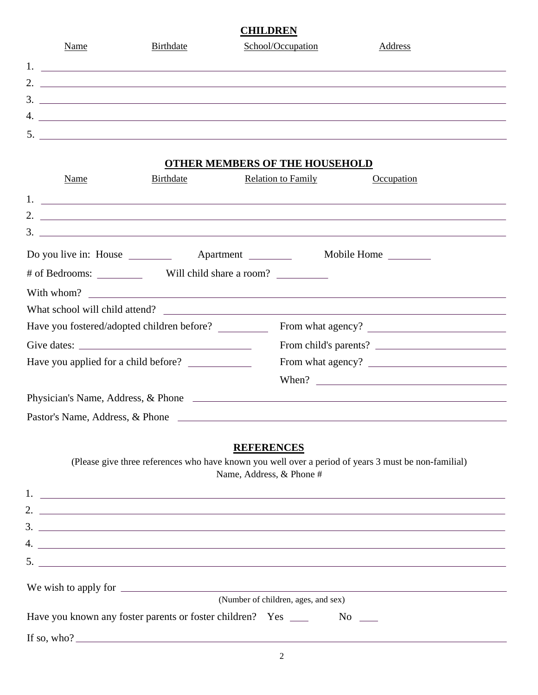| <b>CHILDREN</b> |      |           |                   |         |  |
|-----------------|------|-----------|-------------------|---------|--|
|                 | Name | Birthdate | School/Occupation | Address |  |
| 1.              |      |           |                   |         |  |
| 2.              |      |           |                   |         |  |
| 3.              |      |           |                   |         |  |
| 4.              |      |           |                   |         |  |
|                 |      |           |                   |         |  |
|                 |      |           |                   |         |  |

## **OTHER MEMBERS OF THE HOUSEHOLD**

| Name                                                            | <b>Birthdate</b>                                                                                                     | <b>Relation to Family</b>                     | Occupation                                                                                                                                                                                                                                                                                                             |
|-----------------------------------------------------------------|----------------------------------------------------------------------------------------------------------------------|-----------------------------------------------|------------------------------------------------------------------------------------------------------------------------------------------------------------------------------------------------------------------------------------------------------------------------------------------------------------------------|
|                                                                 |                                                                                                                      |                                               |                                                                                                                                                                                                                                                                                                                        |
|                                                                 |                                                                                                                      |                                               | 2. $\frac{1}{2}$ $\frac{1}{2}$ $\frac{1}{2}$ $\frac{1}{2}$ $\frac{1}{2}$ $\frac{1}{2}$ $\frac{1}{2}$ $\frac{1}{2}$ $\frac{1}{2}$ $\frac{1}{2}$ $\frac{1}{2}$ $\frac{1}{2}$ $\frac{1}{2}$ $\frac{1}{2}$ $\frac{1}{2}$ $\frac{1}{2}$ $\frac{1}{2}$ $\frac{1}{2}$ $\frac{1}{2}$ $\frac{1}{2}$ $\frac{1}{2}$ $\frac{1}{2}$ |
|                                                                 |                                                                                                                      |                                               | $3.$ $\overline{\phantom{a}}$                                                                                                                                                                                                                                                                                          |
|                                                                 |                                                                                                                      |                                               |                                                                                                                                                                                                                                                                                                                        |
|                                                                 |                                                                                                                      |                                               |                                                                                                                                                                                                                                                                                                                        |
|                                                                 |                                                                                                                      |                                               | With whom?                                                                                                                                                                                                                                                                                                             |
| What school will child attend?                                  |                                                                                                                      |                                               |                                                                                                                                                                                                                                                                                                                        |
| Have you fostered/adopted children before?                      |                                                                                                                      |                                               |                                                                                                                                                                                                                                                                                                                        |
|                                                                 |                                                                                                                      |                                               | From child's parents?                                                                                                                                                                                                                                                                                                  |
|                                                                 |                                                                                                                      |                                               |                                                                                                                                                                                                                                                                                                                        |
|                                                                 |                                                                                                                      |                                               |                                                                                                                                                                                                                                                                                                                        |
|                                                                 |                                                                                                                      |                                               |                                                                                                                                                                                                                                                                                                                        |
|                                                                 |                                                                                                                      |                                               |                                                                                                                                                                                                                                                                                                                        |
|                                                                 |                                                                                                                      | <b>REFERENCES</b><br>Name, Address, & Phone # | (Please give three references who have known you well over a period of years 3 must be non-familial)                                                                                                                                                                                                                   |
|                                                                 |                                                                                                                      |                                               | $1.$ $\overline{\phantom{a}}$                                                                                                                                                                                                                                                                                          |
|                                                                 |                                                                                                                      |                                               | 2. $\frac{1}{2}$ $\frac{1}{2}$ $\frac{1}{2}$ $\frac{1}{2}$ $\frac{1}{2}$ $\frac{1}{2}$ $\frac{1}{2}$ $\frac{1}{2}$ $\frac{1}{2}$ $\frac{1}{2}$ $\frac{1}{2}$ $\frac{1}{2}$ $\frac{1}{2}$ $\frac{1}{2}$ $\frac{1}{2}$ $\frac{1}{2}$ $\frac{1}{2}$ $\frac{1}{2}$ $\frac{1}{2}$ $\frac{1}{2}$ $\frac{1}{2}$ $\frac{1}{2}$ |
|                                                                 |                                                                                                                      |                                               |                                                                                                                                                                                                                                                                                                                        |
| 4.                                                              | <u> 1989 - Andrea Andrea Andrea Andrea Andrea Andrea Andrea Andrea Andrea Andrea Andrea Andrea Andrea Andrea And</u> |                                               |                                                                                                                                                                                                                                                                                                                        |
| 5.                                                              |                                                                                                                      |                                               |                                                                                                                                                                                                                                                                                                                        |
|                                                                 |                                                                                                                      |                                               |                                                                                                                                                                                                                                                                                                                        |
|                                                                 |                                                                                                                      | (Number of children, ages, and sex)           |                                                                                                                                                                                                                                                                                                                        |
| Have you known any foster parents or foster children? Yes _____ |                                                                                                                      |                                               | $\rm No$ $\_\_$                                                                                                                                                                                                                                                                                                        |
| If so, who? $\qquad \qquad$                                     |                                                                                                                      |                                               |                                                                                                                                                                                                                                                                                                                        |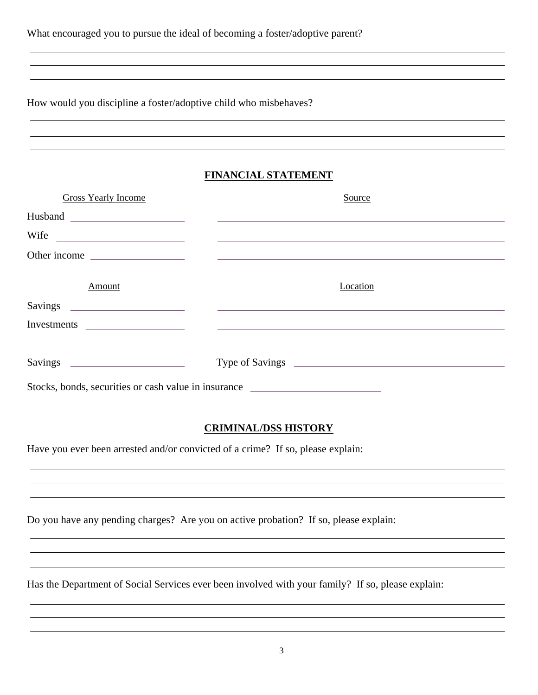| What encouraged you to pursue the ideal of becoming a foster/adoptive parent? |  |  |
|-------------------------------------------------------------------------------|--|--|
|-------------------------------------------------------------------------------|--|--|

How would you discipline a foster/adoptive child who misbehaves?

## **FINANCIAL STATEMENT**

| <b>Gross Yearly Income</b>                           | Source                                                                                                                                                                                                                               |
|------------------------------------------------------|--------------------------------------------------------------------------------------------------------------------------------------------------------------------------------------------------------------------------------------|
|                                                      |                                                                                                                                                                                                                                      |
|                                                      | Wife <u>and the set of the set of the set of the set of the set of the set of the set of the set of the set of the set of the set of the set of the set of the set of the set of the set of the set of the set of the set of the</u> |
|                                                      |                                                                                                                                                                                                                                      |
|                                                      |                                                                                                                                                                                                                                      |
| Amount                                               | Location                                                                                                                                                                                                                             |
|                                                      |                                                                                                                                                                                                                                      |
|                                                      |                                                                                                                                                                                                                                      |
|                                                      |                                                                                                                                                                                                                                      |
|                                                      |                                                                                                                                                                                                                                      |
| Stocks, bonds, securities or cash value in insurance |                                                                                                                                                                                                                                      |

## **CRIMINAL/DSS HISTORY**

Have you ever been arrested and/or convicted of a crime? If so, please explain:

Do you have any pending charges? Are you on active probation? If so, please explain:

Has the Department of Social Services ever been involved with your family? If so, please explain: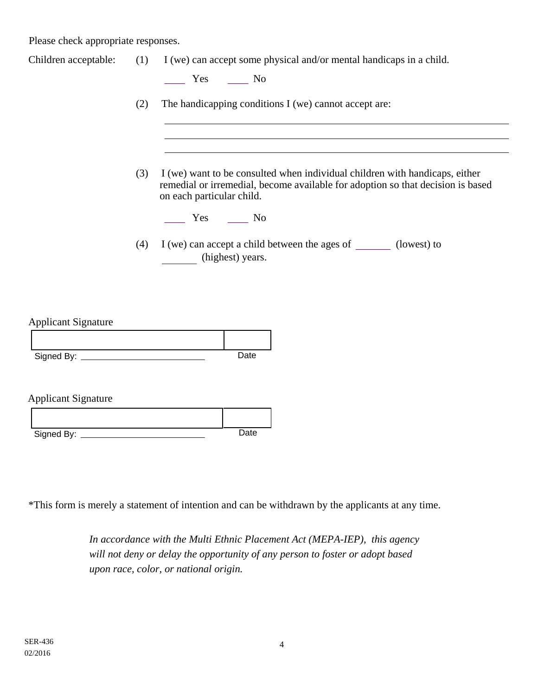Please check appropriate responses.

| Children acceptable: $(1)$ I (we) can accept some physical and/or mental handicaps in a child. |  |  |  |  |  |  |  |
|------------------------------------------------------------------------------------------------|--|--|--|--|--|--|--|
|------------------------------------------------------------------------------------------------|--|--|--|--|--|--|--|

 $\frac{1}{\sqrt{1-\frac{1}{2}}}$  Yes  $\frac{1}{\sqrt{1-\frac{1}{2}}}$  No

- (2) The handicapping conditions I (we) cannot accept are:
- (3) I (we) want to be consulted when individual children with handicaps, either remedial or irremedial, become available for adoption so that decision is based on each particular child.

Yes No

(4) I (we) can accept a child between the ages of  $\qquad \qquad$  (lowest) to (highest) years.

Applicant Signature

| Signed By: | Date |
|------------|------|

Applicant Signature

| Signed By: | Date |
|------------|------|

\*This form is merely a statement of intention and can be withdrawn by the applicants at any time.

*In accordance with the Multi Ethnic Placement Act (MEPA-IEP), this agency will not deny or delay the opportunity of any person to foster or adopt based upon race, color, or national origin.*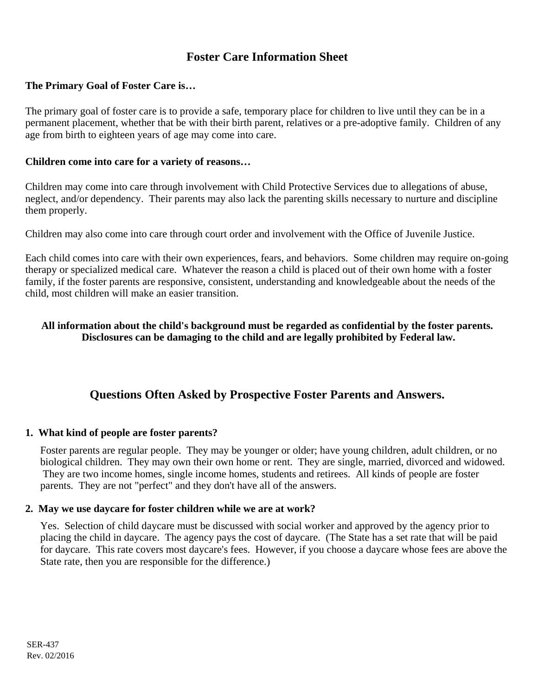# **Foster Care Information Sheet**

## **The Primary Goal of Foster Care is…**

The primary goal of foster care is to provide a safe, temporary place for children to live until they can be in a permanent placement, whether that be with their birth parent, relatives or a pre-adoptive family. Children of any age from birth to eighteen years of age may come into care.

### **Children come into care for a variety of reasons…**

Children may come into care through involvement with Child Protective Services due to allegations of abuse, neglect, and/or dependency. Their parents may also lack the parenting skills necessary to nurture and discipline them properly.

Children may also come into care through court order and involvement with the Office of Juvenile Justice.

Each child comes into care with their own experiences, fears, and behaviors. Some children may require on-going therapy or specialized medical care. Whatever the reason a child is placed out of their own home with a foster family, if the foster parents are responsive, consistent, understanding and knowledgeable about the needs of the child, most children will make an easier transition.

## **All information about the child's background must be regarded as confidential by the foster parents. Disclosures can be damaging to the child and are legally prohibited by Federal law.**

## **Questions Often Asked by Prospective Foster Parents and Answers.**

### **1. What kind of people are foster parents?**

Foster parents are regular people. They may be younger or older; have young children, adult children, or no biological children. They may own their own home or rent. They are single, married, divorced and widowed. They are two income homes, single income homes, students and retirees. All kinds of people are foster parents. They are not "perfect" and they don't have all of the answers.

### **2. May we use daycare for foster children while we are at work?**

Yes. Selection of child daycare must be discussed with social worker and approved by the agency prior to placing the child in daycare. The agency pays the cost of daycare. (The State has a set rate that will be paid for daycare. This rate covers most daycare's fees. However, if you choose a daycare whose fees are above the State rate, then you are responsible for the difference.)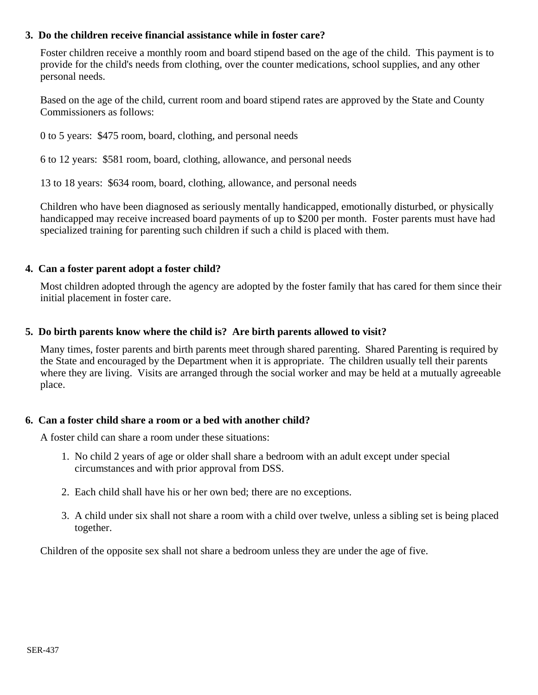### **3. Do the children receive financial assistance while in foster care?**

Foster children receive a monthly room and board stipend based on the age of the child. This payment is to provide for the child's needs from clothing, over the counter medications, school supplies, and any other personal needs.

Based on the age of the child, current room and board stipend rates are approved by the State and County Commissioners as follows:

0 to 5 years: \$475 room, board, clothing, and personal needs

6 to 12 years: \$581 room, board, clothing, allowance, and personal needs

13 to 18 years: \$634 room, board, clothing, allowance, and personal needs

Children who have been diagnosed as seriously mentally handicapped, emotionally disturbed, or physically handicapped may receive increased board payments of up to \$200 per month. Foster parents must have had specialized training for parenting such children if such a child is placed with them.

### **4. Can a foster parent adopt a foster child?**

Most children adopted through the agency are adopted by the foster family that has cared for them since their initial placement in foster care.

### **5. Do birth parents know where the child is? Are birth parents allowed to visit?**

Many times, foster parents and birth parents meet through shared parenting. Shared Parenting is required by the State and encouraged by the Department when it is appropriate. The children usually tell their parents where they are living. Visits are arranged through the social worker and may be held at a mutually agreeable place.

### **6. Can a foster child share a room or a bed with another child?**

A foster child can share a room under these situations:

- 1. No child 2 years of age or older shall share a bedroom with an adult except under special circumstances and with prior approval from DSS.
- 2. Each child shall have his or her own bed; there are no exceptions.
- 3. A child under six shall not share a room with a child over twelve, unless a sibling set is being placed together.

Children of the opposite sex shall not share a bedroom unless they are under the age of five.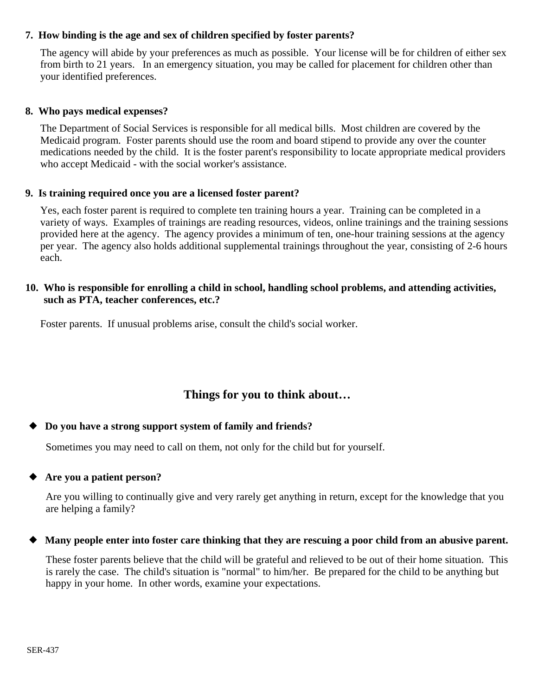### **7. How binding is the age and sex of children specified by foster parents?**

The agency will abide by your preferences as much as possible. Your license will be for children of either sex from birth to 21 years. In an emergency situation, you may be called for placement for children other than your identified preferences.

### **8. Who pays medical expenses?**

The Department of Social Services is responsible for all medical bills. Most children are covered by the Medicaid program. Foster parents should use the room and board stipend to provide any over the counter medications needed by the child. It is the foster parent's responsibility to locate appropriate medical providers who accept Medicaid - with the social worker's assistance.

### **9. Is training required once you are a licensed foster parent?**

Yes, each foster parent is required to complete ten training hours a year. Training can be completed in a variety of ways. Examples of trainings are reading resources, videos, online trainings and the training sessions provided here at the agency. The agency provides a minimum of ten, one-hour training sessions at the agency per year. The agency also holds additional supplemental trainings throughout the year, consisting of 2-6 hours each.

### **10. Who is responsible for enrolling a child in school, handling school problems, and attending activities, such as PTA, teacher conferences, etc.?**

Foster parents. If unusual problems arise, consult the child's social worker.

# **Things for you to think about…**

#### **Do you have a strong support system of family and friends?**  $\blacklozenge$

Sometimes you may need to call on them, not only for the child but for yourself.

#### **Are you a patient person?**  $\blacklozenge$

Are you willing to continually give and very rarely get anything in return, except for the knowledge that you are helping a family?

#### **Many people enter into foster care thinking that they are rescuing a poor child from an abusive parent.**  $\blacklozenge$

These foster parents believe that the child will be grateful and relieved to be out of their home situation. This is rarely the case. The child's situation is "normal" to him/her. Be prepared for the child to be anything but happy in your home. In other words, examine your expectations.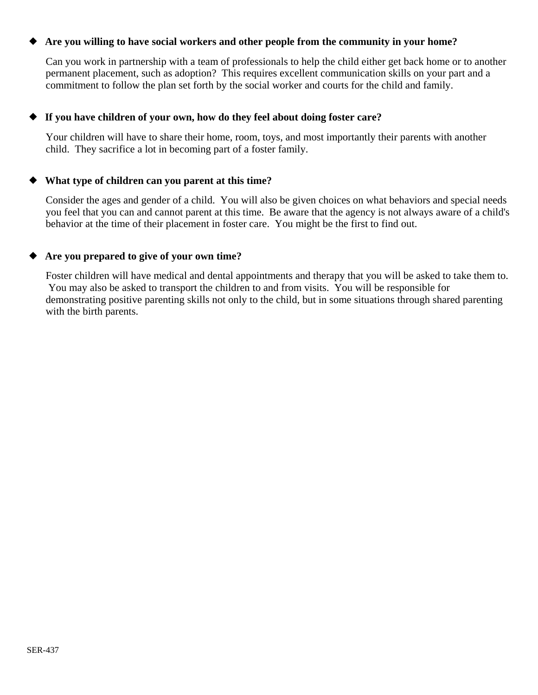#### **Are you willing to have social workers and other people from the community in your home?**  $\blacklozenge$

Can you work in partnership with a team of professionals to help the child either get back home or to another permanent placement, such as adoption? This requires excellent communication skills on your part and a commitment to follow the plan set forth by the social worker and courts for the child and family.

#### **If you have children of your own, how do they feel about doing foster care?**  $\blacklozenge$

Your children will have to share their home, room, toys, and most importantly their parents with another child. They sacrifice a lot in becoming part of a foster family.

#### **What type of children can you parent at this time?**  $\blacklozenge$

Consider the ages and gender of a child. You will also be given choices on what behaviors and special needs you feel that you can and cannot parent at this time. Be aware that the agency is not always aware of a child's behavior at the time of their placement in foster care. You might be the first to find out.

#### **Are you prepared to give of your own time?**  $\blacklozenge$

Foster children will have medical and dental appointments and therapy that you will be asked to take them to. You may also be asked to transport the children to and from visits. You will be responsible for demonstrating positive parenting skills not only to the child, but in some situations through shared parenting with the birth parents.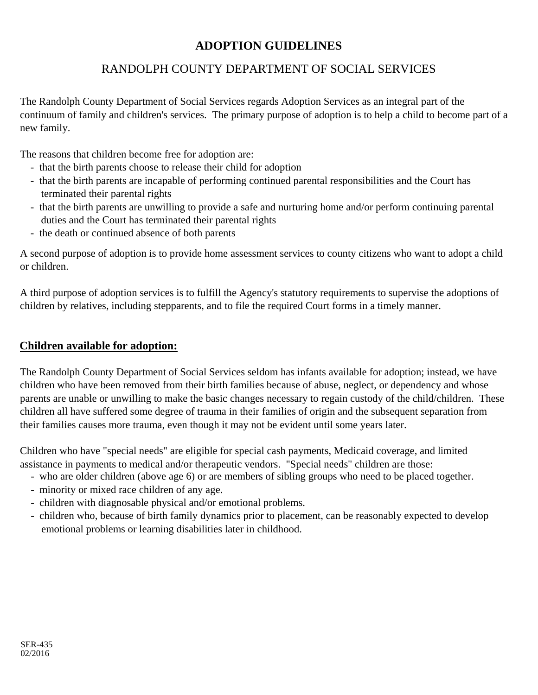# **ADOPTION GUIDELINES**

# RANDOLPH COUNTY DEPARTMENT OF SOCIAL SERVICES

The Randolph County Department of Social Services regards Adoption Services as an integral part of the continuum of family and children's services. The primary purpose of adoption is to help a child to become part of a new family.

The reasons that children become free for adoption are:

- that the birth parents choose to release their child for adoption
- that the birth parents are incapable of performing continued parental responsibilities and the Court has terminated their parental rights
- that the birth parents are unwilling to provide a safe and nurturing home and/or perform continuing parental duties and the Court has terminated their parental rights
- the death or continued absence of both parents

A second purpose of adoption is to provide home assessment services to county citizens who want to adopt a child or children.

A third purpose of adoption services is to fulfill the Agency's statutory requirements to supervise the adoptions of children by relatives, including stepparents, and to file the required Court forms in a timely manner.

## **Children available for adoption:**

The Randolph County Department of Social Services seldom has infants available for adoption; instead, we have children who have been removed from their birth families because of abuse, neglect, or dependency and whose parents are unable or unwilling to make the basic changes necessary to regain custody of the child/children. These children all have suffered some degree of trauma in their families of origin and the subsequent separation from their families causes more trauma, even though it may not be evident until some years later.

Children who have "special needs" are eligible for special cash payments, Medicaid coverage, and limited assistance in payments to medical and/or therapeutic vendors. "Special needs" children are those:

- who are older children (above age 6) or are members of sibling groups who need to be placed together.
- minority or mixed race children of any age.
- children with diagnosable physical and/or emotional problems.
- children who, because of birth family dynamics prior to placement, can be reasonably expected to develop emotional problems or learning disabilities later in childhood.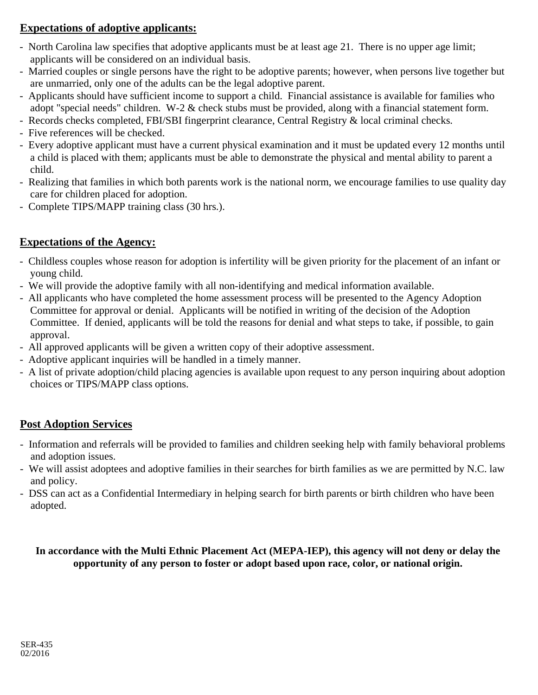# **Expectations of adoptive applicants:**

- North Carolina law specifies that adoptive applicants must be at least age 21. There is no upper age limit; applicants will be considered on an individual basis.
- Married couples or single persons have the right to be adoptive parents; however, when persons live together but are unmarried, only one of the adults can be the legal adoptive parent.
- Applicants should have sufficient income to support a child. Financial assistance is available for families who adopt "special needs" children. W-2 & check stubs must be provided, along with a financial statement form.
- Records checks completed, FBI/SBI fingerprint clearance, Central Registry & local criminal checks.
- Five references will be checked.
- Every adoptive applicant must have a current physical examination and it must be updated every 12 months until a child is placed with them; applicants must be able to demonstrate the physical and mental ability to parent a child.
- Realizing that families in which both parents work is the national norm, we encourage families to use quality day care for children placed for adoption.
- Complete TIPS/MAPP training class (30 hrs.).

## **Expectations of the Agency:**

- Childless couples whose reason for adoption is infertility will be given priority for the placement of an infant or young child.
- We will provide the adoptive family with all non-identifying and medical information available.
- All applicants who have completed the home assessment process will be presented to the Agency Adoption Committee for approval or denial. Applicants will be notified in writing of the decision of the Adoption Committee. If denied, applicants will be told the reasons for denial and what steps to take, if possible, to gain approval.
- All approved applicants will be given a written copy of their adoptive assessment.
- Adoptive applicant inquiries will be handled in a timely manner.
- A list of private adoption/child placing agencies is available upon request to any person inquiring about adoption choices or TIPS/MAPP class options.

## **Post Adoption Services**

- Information and referrals will be provided to families and children seeking help with family behavioral problems and adoption issues.
- We will assist adoptees and adoptive families in their searches for birth families as we are permitted by N.C. law and policy.
- DSS can act as a Confidential Intermediary in helping search for birth parents or birth children who have been adopted.

**In accordance with the Multi Ethnic Placement Act (MEPA-IEP), this agency will not deny or delay the opportunity of any person to foster or adopt based upon race, color, or national origin.**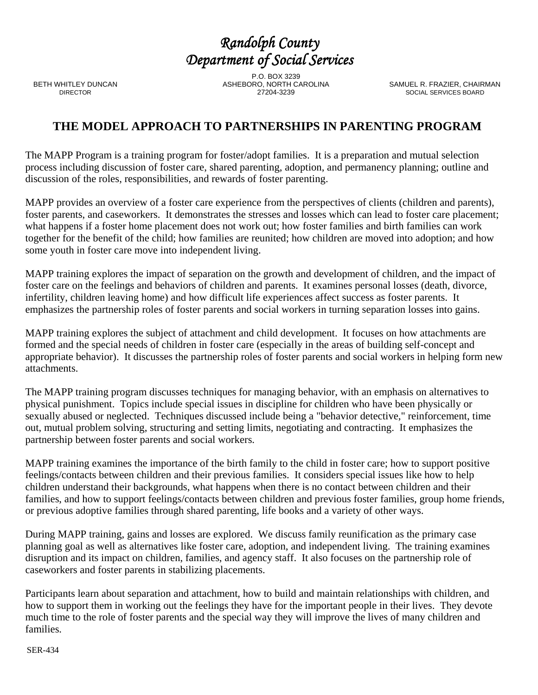BETH WHITLEY DUNCAN DIRECTOR

P.O. BOX 3239 ASHEBORO, NORTH CAROLINA 27204-3239

SAMUEL R. FRAZIER, CHAIRMAN SOCIAL SERVICES BOARD

# **THE MODEL APPROACH TO PARTNERSHIPS IN PARENTING PROGRAM**

The MAPP Program is a training program for foster/adopt families. It is a preparation and mutual selection process including discussion of foster care, shared parenting, adoption, and permanency planning; outline and discussion of the roles, responsibilities, and rewards of foster parenting.

MAPP provides an overview of a foster care experience from the perspectives of clients (children and parents), foster parents, and caseworkers. It demonstrates the stresses and losses which can lead to foster care placement; what happens if a foster home placement does not work out; how foster families and birth families can work together for the benefit of the child; how families are reunited; how children are moved into adoption; and how some youth in foster care move into independent living.

MAPP training explores the impact of separation on the growth and development of children, and the impact of foster care on the feelings and behaviors of children and parents. It examines personal losses (death, divorce, infertility, children leaving home) and how difficult life experiences affect success as foster parents. It emphasizes the partnership roles of foster parents and social workers in turning separation losses into gains.

MAPP training explores the subject of attachment and child development. It focuses on how attachments are formed and the special needs of children in foster care (especially in the areas of building self-concept and appropriate behavior). It discusses the partnership roles of foster parents and social workers in helping form new attachments.

The MAPP training program discusses techniques for managing behavior, with an emphasis on alternatives to physical punishment. Topics include special issues in discipline for children who have been physically or sexually abused or neglected. Techniques discussed include being a "behavior detective," reinforcement, time out, mutual problem solving, structuring and setting limits, negotiating and contracting. It emphasizes the partnership between foster parents and social workers.

MAPP training examines the importance of the birth family to the child in foster care; how to support positive feelings/contacts between children and their previous families. It considers special issues like how to help children understand their backgrounds, what happens when there is no contact between children and their families, and how to support feelings/contacts between children and previous foster families, group home friends, or previous adoptive families through shared parenting, life books and a variety of other ways.

During MAPP training, gains and losses are explored. We discuss family reunification as the primary case planning goal as well as alternatives like foster care, adoption, and independent living. The training examines disruption and its impact on children, families, and agency staff. It also focuses on the partnership role of caseworkers and foster parents in stabilizing placements.

Participants learn about separation and attachment, how to build and maintain relationships with children, and how to support them in working out the feelings they have for the important people in their lives. They devote much time to the role of foster parents and the special way they will improve the lives of many children and families.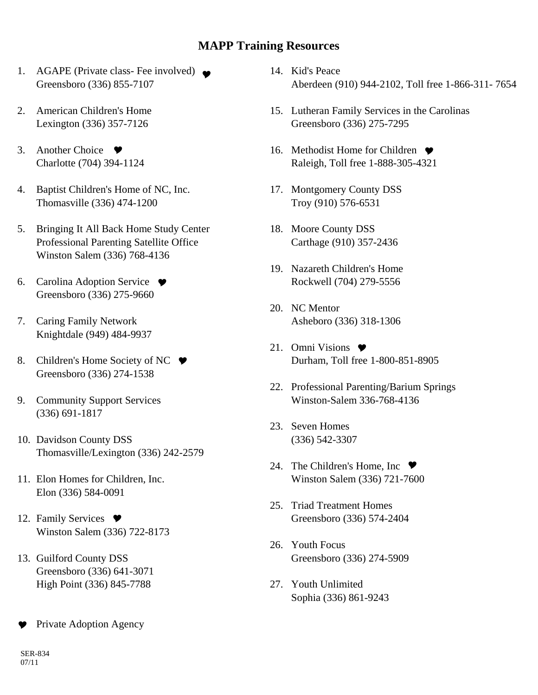## **MAPP Training Resources**

- AGAPE (Private class- Fee involved) 1. Greensboro (336) 855-7107
- American Children's Home 2. Lexington (336) 357-7126
- 3. Another Choice  $\bullet$ Charlotte (704) 394-1124
- 4. Baptist Children's Home of NC, Inc. Thomasville (336) 474-1200
- 5. Bringing It All Back Home Study Center Professional Parenting Satellite Office Winston Salem (336) 768-4136
- 6. Carolina Adoption Service ♥ Greensboro (336) 275-9660
- 7. Caring Family Network Knightdale (949) 484-9937
- 8. Children's Home Society of NC ♥ Greensboro (336) 274-1538
- 9. Community Support Services (336) 691-1817
- 10. Davidson County DSS Thomasville/Lexington (336) 242-2579
- Elon Homes for Children, Inc. 11. Elon (336) 584-0091
- 12. Family Services  $\bullet$ Winston Salem (336) 722-8173
- 13. Guilford County DSS Greensboro (336) 641-3071 High Point (336) 845-7788

Private Adoption Agency  $\bullet$ 

- 14. Kid's Peace Aberdeen (910) 944-2102, Toll free 1-866-311- 7654
- 15. Lutheran Family Services in the Carolinas Greensboro (336) 275-7295
- 16. Methodist Home for Children ♥ Raleigh, Toll free 1-888-305-4321
- 17. Montgomery County DSS Troy (910) 576-6531
- 18. Moore County DSS Carthage (910) 357-2436
- 19. Nazareth Children's Home Rockwell (704) 279-5556
- 20. NC Mentor Asheboro (336) 318-1306
- 21. Omni Visions  $\bullet$ Durham, Toll free 1-800-851-8905
- 22. Professional Parenting/Barium Springs Winston-Salem 336-768-4136
- 23. Seven Homes (336) 542-3307
- 24. The Children's Home, Inc  $\bullet$ Winston Salem (336) 721-7600
- 25. Triad Treatment Homes Greensboro (336) 574-2404
- Youth Focus 26. Greensboro (336) 274-5909
- Youth Unlimited 27. Sophia (336) 861-9243

SER-834 07/11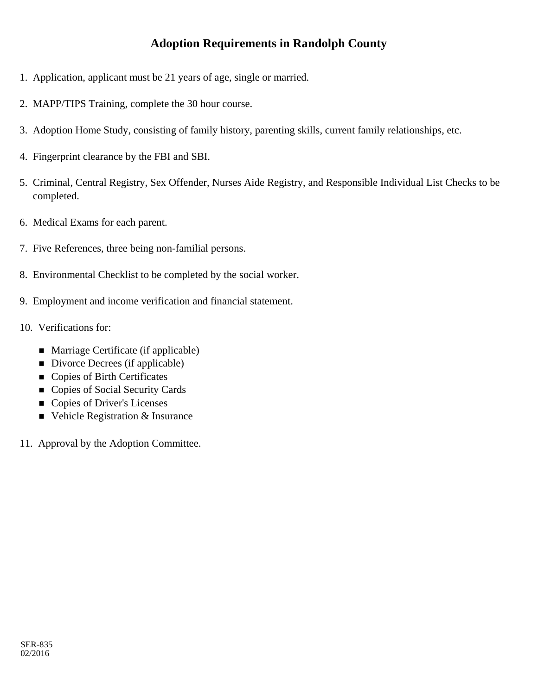# **Adoption Requirements in Randolph County**

- 1. Application, applicant must be 21 years of age, single or married.
- 2. MAPP/TIPS Training, complete the 30 hour course.
- 3. Adoption Home Study, consisting of family history, parenting skills, current family relationships, etc.
- 4. Fingerprint clearance by the FBI and SBI.
- 5. Criminal, Central Registry, Sex Offender, Nurses Aide Registry, and Responsible Individual List Checks to be completed.
- 6. Medical Exams for each parent.
- 7. Five References, three being non-familial persons.
- 8. Environmental Checklist to be completed by the social worker.
- 9. Employment and income verification and financial statement.
- 10. Verifications for:
	- Marriage Certificate (if applicable)
	- Divorce Decrees (if applicable)
	- Copies of Birth Certificates
	- Copies of Social Security Cards
	- Copies of Driver's Licenses
	- Vehicle Registration & Insurance
- 11. Approval by the Adoption Committee.